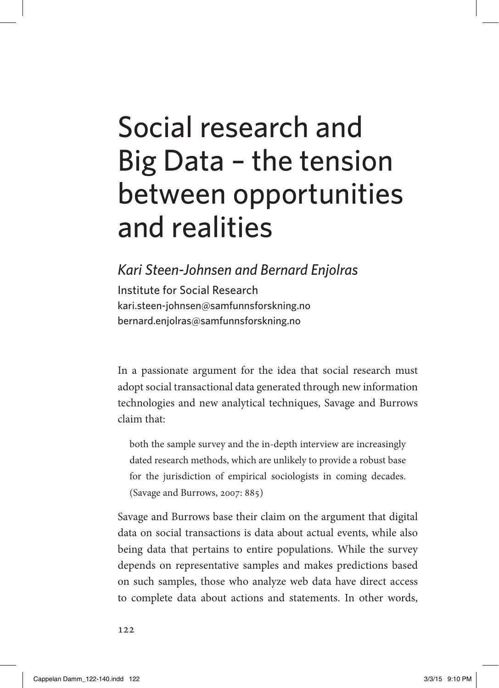# social research and Big Data – the tension between opportunities and realities

#### *Kari Steen-Johnsen and Bernard Enjolras*

Institute for Social Research [kari.steen-johnsen@samfunnsforskning.no](mailto:kari.steen-johnsen@samfunnsforskning.no) [bernard.enjolras@samfunnsforskning.no](mailto:bernard.enjolras@samfunnsforskning.no)

In a passionate argument for the idea that social research must adopt social transactional data generated through new information technologies and new analytical techniques, Savage and Burrows claim that:

both the sample survey and the in-depth interview are increasingly dated research methods, which are unlikely to provide a robust base for the jurisdiction of empirical sociologists in coming decades. (Savage and Burrows, 2007: 885)

Savage and Burrows base their claim on the argument that digital data on social transactions is data about actual events, while also being data that pertains to entire populations. While the survey depends on representative samples and makes predictions based on such samples, those who analyze web data have direct access to complete data about actions and statements. In other words,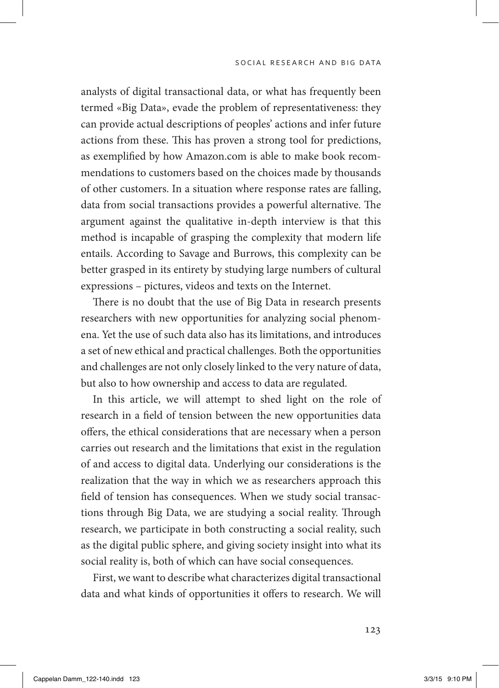analysts of digital transactional data, or what has frequently been termed «Big Data», evade the problem of representativeness: they can provide actual descriptions of peoples' actions and infer future actions from these. This has proven a strong tool for predictions, as exemplified by how Amazon.com is able to make book recommendations to customers based on the choices made by thousands of other customers. In a situation where response rates are falling, data from social transactions provides a powerful alternative. The argument against the qualitative in-depth interview is that this method is incapable of grasping the complexity that modern life entails. According to Savage and Burrows, this complexity can be better grasped in its entirety by studying large numbers of cultural expressions – pictures, videos and texts on the Internet.

There is no doubt that the use of Big Data in research presents researchers with new opportunities for analyzing social phenomena. Yet the use of such data also has its limitations, and introduces a set of new ethical and practical challenges. Both the opportunities and challenges are not only closely linked to the very nature of data, but also to how ownership and access to data are regulated.

In this article, we will attempt to shed light on the role of research in a field of tension between the new opportunities data offers, the ethical considerations that are necessary when a person carries out research and the limitations that exist in the regulation of and access to digital data. Underlying our considerations is the realization that the way in which we as researchers approach this field of tension has consequences. When we study social transactions through Big Data, we are studying a social reality. Through research, we participate in both constructing a social reality, such as the digital public sphere, and giving society insight into what its social reality is, both of which can have social consequences.

First, we want to describe what characterizes digital transactional data and what kinds of opportunities it offers to research. We will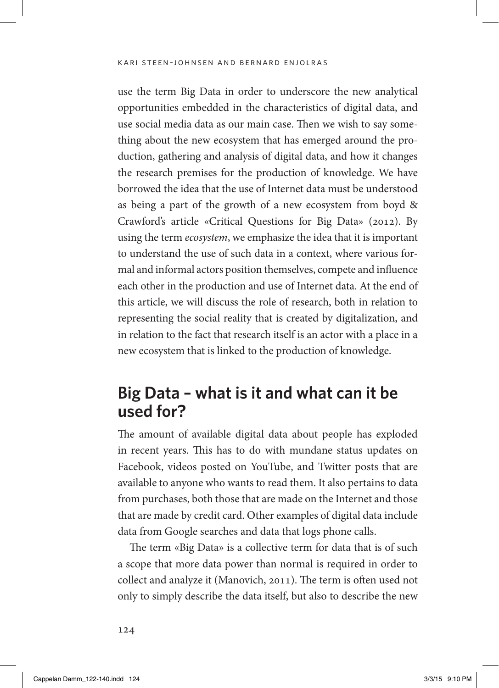use the term Big Data in order to underscore the new analytical opportunities embedded in the characteristics of digital data, and use social media data as our main case. Then we wish to say something about the new ecosystem that has emerged around the production, gathering and analysis of digital data, and how it changes the research premises for the production of knowledge. We have borrowed the idea that the use of Internet data must be understood as being a part of the growth of a new ecosystem from boyd & Crawford's article «Critical Questions for Big Data» (2012). By using the term *ecosystem*, we emphasize the idea that it is important to understand the use of such data in a context, where various formal and informal actors position themselves, compete and influence each other in the production and use of Internet data. At the end of this article, we will discuss the role of research, both in relation to representing the social reality that is created by digitalization, and in relation to the fact that research itself is an actor with a place in a new ecosystem that is linked to the production of knowledge.

### **Big Data – what is it and what can it be used for?**

The amount of available digital data about people has exploded in recent years. This has to do with mundane status updates on Facebook, videos posted on YouTube, and Twitter posts that are available to anyone who wants to read them. It also pertains to data from purchases, both those that are made on the Internet and those that are made by credit card. Other examples of digital data include data from Google searches and data that logs phone calls.

The term «Big Data» is a collective term for data that is of such a scope that more data power than normal is required in order to collect and analyze it (Manovich, 2011). The term is often used not only to simply describe the data itself, but also to describe the new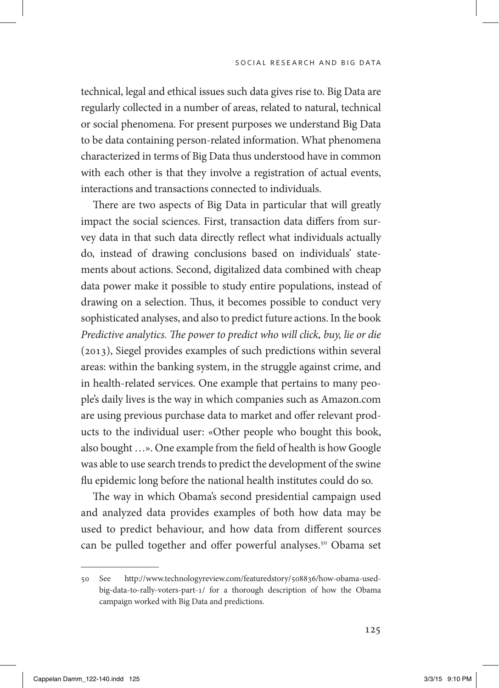technical, legal and ethical issues such data gives rise to. Big Data are regularly collected in a number of areas, related to natural, technical or social phenomena. For present purposes we understand Big Data to be data containing person-related information. What phenomena characterized in terms of Big Data thus understood have in common with each other is that they involve a registration of actual events, interactions and transactions connected to individuals.

There are two aspects of Big Data in particular that will greatly impact the social sciences. First, transaction data differs from survey data in that such data directly reflect what individuals actually do, instead of drawing conclusions based on individuals' statements about actions. Second, digitalized data combined with cheap data power make it possible to study entire populations, instead of drawing on a selection. Thus, it becomes possible to conduct very sophisticated analyses, and also to predict future actions. In the book *Predictive analytics. The power to predict who will click, buy, lie or die* (2013), Siegel provides examples of such predictions within several areas: within the banking system, in the struggle against crime, and in health-related services. One example that pertains to many people's daily lives is the way in which companies such as Amazon.com are using previous purchase data to market and offer relevant products to the individual user: «Other people who bought this book, also bought …». One example from the field of health is how Google was able to use search trends to predict the development of the swine flu epidemic long before the national health institutes could do so.

The way in which Obama's second presidential campaign used and analyzed data provides examples of both how data may be used to predict behaviour, and how data from different sources can be pulled together and offer powerful analyses.<sup>50</sup> Obama set

<sup>50</sup> See http://www.technologyreview.com/featuredstory/508836/how-obama-usedbig-data-to-rally-voters-part-1/ for a thorough description of how the Obama campaign worked with Big Data and predictions.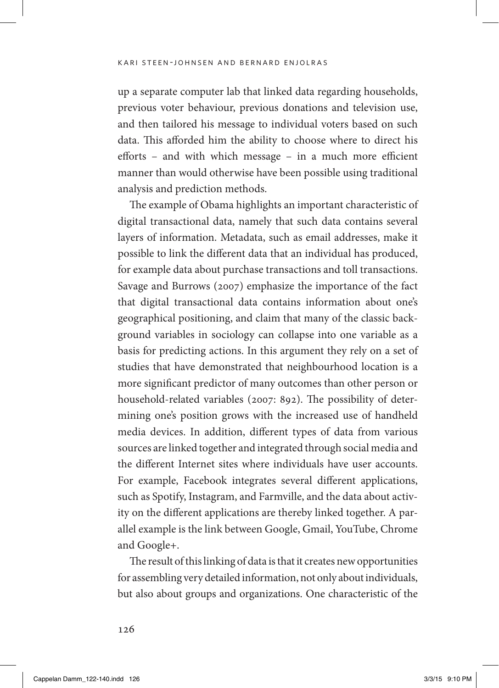up a separate computer lab that linked data regarding households, previous voter behaviour, previous donations and television use, and then tailored his message to individual voters based on such data. This afforded him the ability to choose where to direct his efforts – and with which message – in a much more efficient manner than would otherwise have been possible using traditional analysis and prediction methods.

The example of Obama highlights an important characteristic of digital transactional data, namely that such data contains several layers of information. Metadata, such as email addresses, make it possible to link the different data that an individual has produced, for example data about purchase transactions and toll transactions. Savage and Burrows (2007) emphasize the importance of the fact that digital transactional data contains information about one's geographical positioning, and claim that many of the classic background variables in sociology can collapse into one variable as a basis for predicting actions. In this argument they rely on a set of studies that have demonstrated that neighbourhood location is a more significant predictor of many outcomes than other person or household-related variables (2007: 892). The possibility of determining one's position grows with the increased use of handheld media devices. In addition, different types of data from various sources are linked together and integrated through social media and the different Internet sites where individuals have user accounts. For example, Facebook integrates several different applications, such as Spotify, Instagram, and Farmville, and the data about activity on the different applications are thereby linked together. A parallel example is the link between Google, Gmail, YouTube, Chrome and Google+.

The result of this linking of data is that it creates new opportunities for assembling very detailed information, not only about individuals, but also about groups and organizations. One characteristic of the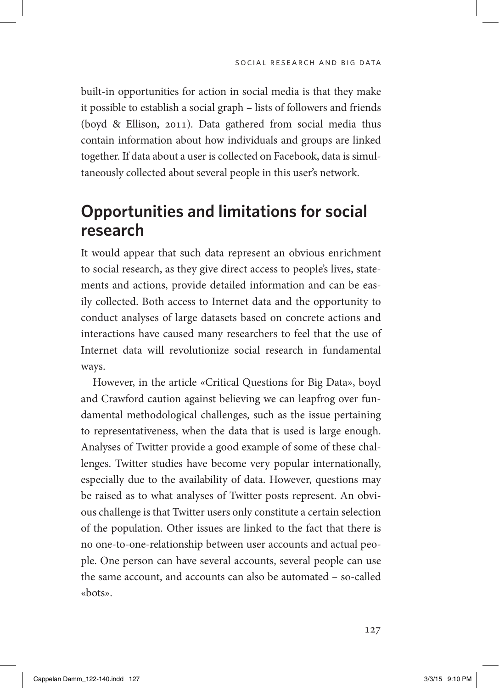built-in opportunities for action in social media is that they make it possible to establish a social graph – lists of followers and friends (boyd & Ellison, 2011). Data gathered from social media thus contain information about how individuals and groups are linked together. If data about a user is collected on Facebook, data is simultaneously collected about several people in this user's network.

### **Opportunities and limitations for social research**

It would appear that such data represent an obvious enrichment to social research, as they give direct access to people's lives, statements and actions, provide detailed information and can be easily collected. Both access to Internet data and the opportunity to conduct analyses of large datasets based on concrete actions and interactions have caused many researchers to feel that the use of Internet data will revolutionize social research in fundamental ways.

However, in the article «Critical Questions for Big Data», boyd and Crawford caution against believing we can leapfrog over fundamental methodological challenges, such as the issue pertaining to representativeness, when the data that is used is large enough. Analyses of Twitter provide a good example of some of these challenges. Twitter studies have become very popular internationally, especially due to the availability of data. However, questions may be raised as to what analyses of Twitter posts represent. An obvious challenge is that Twitter users only constitute a certain selection of the population. Other issues are linked to the fact that there is no one-to-one-relationship between user accounts and actual people. One person can have several accounts, several people can use the same account, and accounts can also be automated – so-called «bots».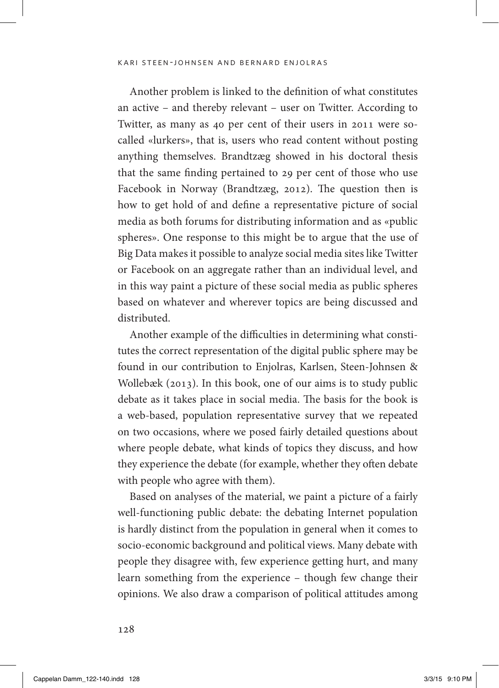Another problem is linked to the definition of what constitutes an active – and thereby relevant – user on Twitter. According to Twitter, as many as 40 per cent of their users in 2011 were socalled «lurkers», that is, users who read content without posting anything themselves. Brandtzæg showed in his doctoral thesis that the same finding pertained to 29 per cent of those who use Facebook in Norway (Brandtzæg, 2012). The question then is how to get hold of and define a representative picture of social media as both forums for distributing information and as «public spheres». One response to this might be to argue that the use of Big Data makes it possible to analyze social media sites like Twitter or Facebook on an aggregate rather than an individual level, and in this way paint a picture of these social media as public spheres based on whatever and wherever topics are being discussed and distributed.

Another example of the difficulties in determining what constitutes the correct representation of the digital public sphere may be found in our contribution to Enjolras, Karlsen, Steen-Johnsen & Wollebæk (2013). In this book, one of our aims is to study public debate as it takes place in social media. The basis for the book is a web-based, population representative survey that we repeated on two occasions, where we posed fairly detailed questions about where people debate, what kinds of topics they discuss, and how they experience the debate (for example, whether they often debate with people who agree with them).

Based on analyses of the material, we paint a picture of a fairly well-functioning public debate: the debating Internet population is hardly distinct from the population in general when it comes to socio-economic background and political views. Many debate with people they disagree with, few experience getting hurt, and many learn something from the experience – though few change their opinions. We also draw a comparison of political attitudes among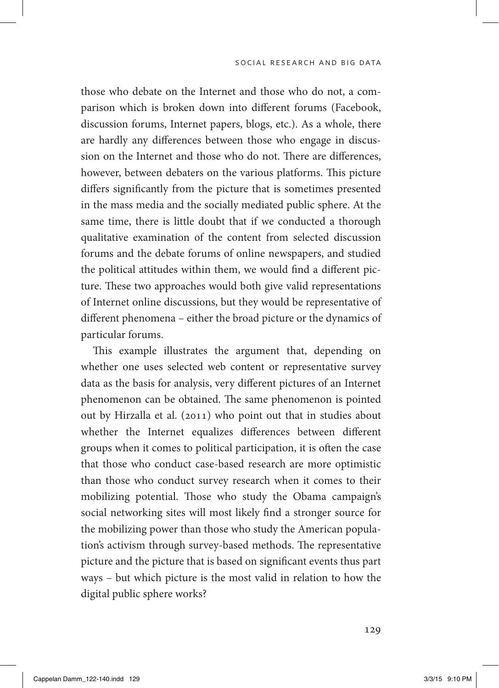those who debate on the Internet and those who do not, a comparison which is broken down into different forums (Facebook, discussion forums, Internet papers, blogs, etc.). As a whole, there are hardly any differences between those who engage in discussion on the Internet and those who do not. There are differences, however, between debaters on the various platforms. This picture differs significantly from the picture that is sometimes presented in the mass media and the socially mediated public sphere. At the same time, there is little doubt that if we conducted a thorough qualitative examination of the content from selected discussion forums and the debate forums of online newspapers, and studied the political attitudes within them, we would find a different picture. These two approaches would both give valid representations of Internet online discussions, but they would be representative of different phenomena – either the broad picture or the dynamics of particular forums.

This example illustrates the argument that, depending on whether one uses selected web content or representative survey data as the basis for analysis, very different pictures of an Internet phenomenon can be obtained. The same phenomenon is pointed out by Hirzalla et al. (2011) who point out that in studies about whether the Internet equalizes differences between different groups when it comes to political participation, it is often the case that those who conduct case-based research are more optimistic than those who conduct survey research when it comes to their mobilizing potential. Those who study the Obama campaign's social networking sites will most likely find a stronger source for the mobilizing power than those who study the American population's activism through survey-based methods. The representative picture and the picture that is based on significant events thus part ways – but which picture is the most valid in relation to how the digital public sphere works?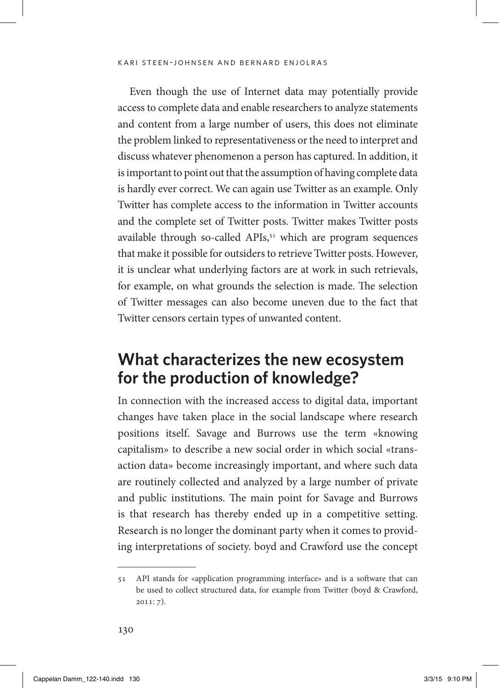Even though the use of Internet data may potentially provide access to complete data and enable researchers to analyze statements and content from a large number of users, this does not eliminate the problem linked to representativeness or the need to interpret and discuss whatever phenomenon a person has captured. In addition, it is important to point out that the assumption of having complete data is hardly ever correct. We can again use Twitter as an example. Only Twitter has complete access to the information in Twitter accounts and the complete set of Twitter posts. Twitter makes Twitter posts available through so-called APIs,<sup>51</sup> which are program sequences that make it possible for outsiders to retrieve Twitter posts. However, it is unclear what underlying factors are at work in such retrievals, for example, on what grounds the selection is made. The selection of Twitter messages can also become uneven due to the fact that Twitter censors certain types of unwanted content.

## **What characterizes the new ecosystem for the production of knowledge?**

In connection with the increased access to digital data, important changes have taken place in the social landscape where research positions itself. Savage and Burrows use the term «knowing capitalism» to describe a new social order in which social «transaction data» become increasingly important, and where such data are routinely collected and analyzed by a large number of private and public institutions. The main point for Savage and Burrows is that research has thereby ended up in a competitive setting. Research is no longer the dominant party when it comes to providing interpretations of society. boyd and Crawford use the concept

<sup>51</sup> API stands for «application programming interface» and is a software that can be used to collect structured data, for example from Twitter (boyd & Crawford, 2011: 7).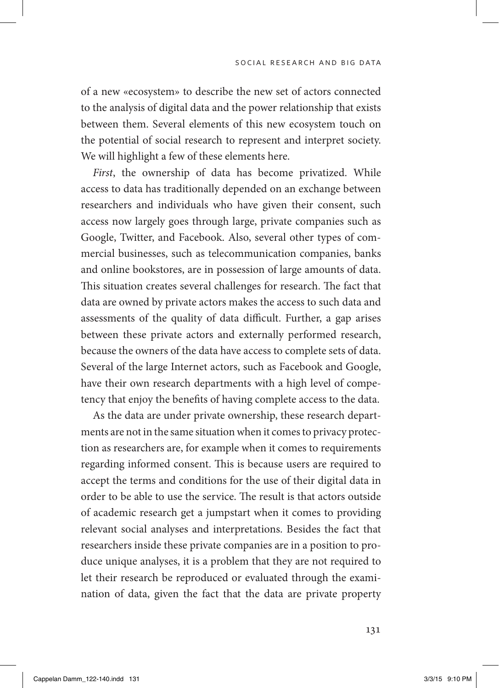of a new «ecosystem» to describe the new set of actors connected to the analysis of digital data and the power relationship that exists between them. Several elements of this new ecosystem touch on the potential of social research to represent and interpret society. We will highlight a few of these elements here.

*First*, the ownership of data has become privatized. While access to data has traditionally depended on an exchange between researchers and individuals who have given their consent, such access now largely goes through large, private companies such as Google, Twitter, and Facebook. Also, several other types of commercial businesses, such as telecommunication companies, banks and online bookstores, are in possession of large amounts of data. This situation creates several challenges for research. The fact that data are owned by private actors makes the access to such data and assessments of the quality of data difficult. Further, a gap arises between these private actors and externally performed research, because the owners of the data have access to complete sets of data. Several of the large Internet actors, such as Facebook and Google, have their own research departments with a high level of competency that enjoy the benefits of having complete access to the data.

As the data are under private ownership, these research departments are not in the same situation when it comes to privacy protection as researchers are, for example when it comes to requirements regarding informed consent. This is because users are required to accept the terms and conditions for the use of their digital data in order to be able to use the service. The result is that actors outside of academic research get a jumpstart when it comes to providing relevant social analyses and interpretations. Besides the fact that researchers inside these private companies are in a position to produce unique analyses, it is a problem that they are not required to let their research be reproduced or evaluated through the examination of data, given the fact that the data are private property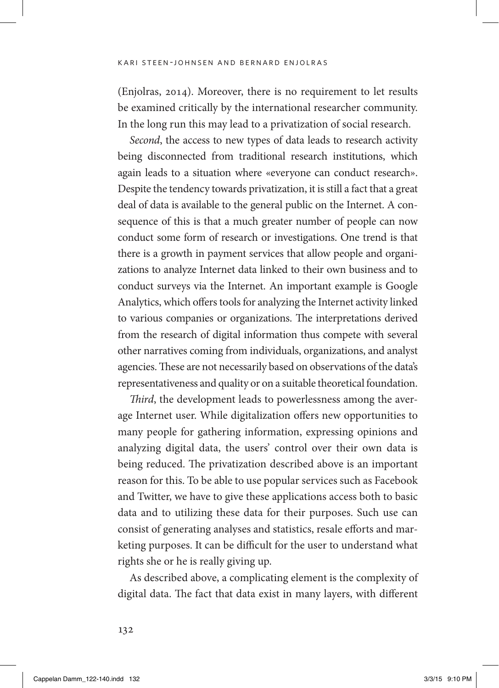(Enjolras, 2014). Moreover, there is no requirement to let results be examined critically by the international researcher community. In the long run this may lead to a privatization of social research.

*Second*, the access to new types of data leads to research activity being disconnected from traditional research institutions, which again leads to a situation where «everyone can conduct research». Despite the tendency towards privatization, it is still a fact that a great deal of data is available to the general public on the Internet. A consequence of this is that a much greater number of people can now conduct some form of research or investigations. One trend is that there is a growth in payment services that allow people and organizations to analyze Internet data linked to their own business and to conduct surveys via the Internet. An important example is Google Analytics, which offers tools for analyzing the Internet activity linked to various companies or organizations. The interpretations derived from the research of digital information thus compete with several other narratives coming from individuals, organizations, and analyst agencies. These are not necessarily based on observations of the data's representativeness and quality or on a suitable theoretical foundation.

*Third*, the development leads to powerlessness among the average Internet user. While digitalization offers new opportunities to many people for gathering information, expressing opinions and analyzing digital data, the users' control over their own data is being reduced. The privatization described above is an important reason for this. To be able to use popular services such as Facebook and Twitter, we have to give these applications access both to basic data and to utilizing these data for their purposes. Such use can consist of generating analyses and statistics, resale efforts and marketing purposes. It can be difficult for the user to understand what rights she or he is really giving up.

As described above, a complicating element is the complexity of digital data. The fact that data exist in many layers, with different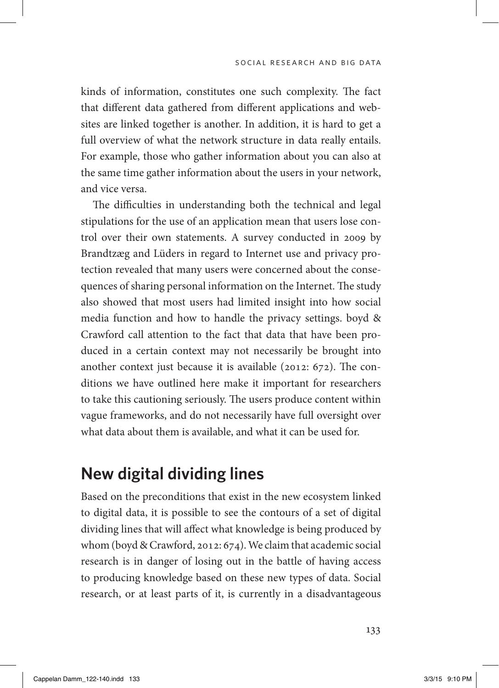kinds of information, constitutes one such complexity. The fact that different data gathered from different applications and websites are linked together is another. In addition, it is hard to get a full overview of what the network structure in data really entails. For example, those who gather information about you can also at the same time gather information about the users in your network, and vice versa.

The difficulties in understanding both the technical and legal stipulations for the use of an application mean that users lose control over their own statements. A survey conducted in 2009 by Brandtzæg and Lüders in regard to Internet use and privacy protection revealed that many users were concerned about the consequences of sharing personal information on the Internet. The study also showed that most users had limited insight into how social media function and how to handle the privacy settings. boyd & Crawford call attention to the fact that data that have been produced in a certain context may not necessarily be brought into another context just because it is available (2012: 672). The conditions we have outlined here make it important for researchers to take this cautioning seriously. The users produce content within vague frameworks, and do not necessarily have full oversight over what data about them is available, and what it can be used for.

#### **New digital dividing lines**

Based on the preconditions that exist in the new ecosystem linked to digital data, it is possible to see the contours of a set of digital dividing lines that will affect what knowledge is being produced by whom (boyd & Crawford, 2012: 674). We claim that academic social research is in danger of losing out in the battle of having access to producing knowledge based on these new types of data. Social research, or at least parts of it, is currently in a disadvantageous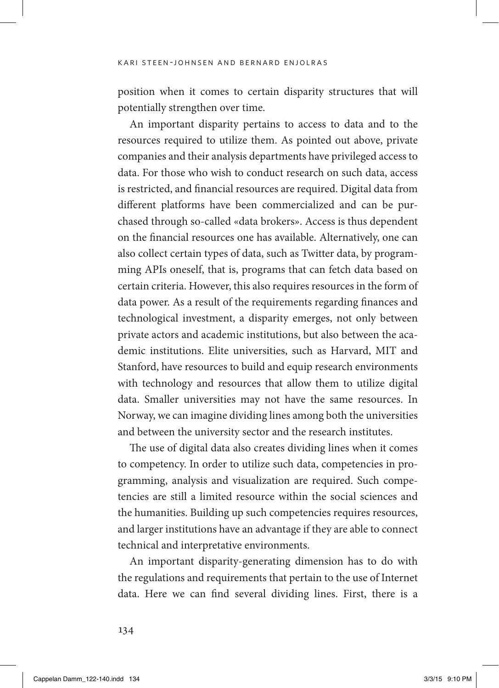position when it comes to certain disparity structures that will potentially strengthen over time.

An important disparity pertains to access to data and to the resources required to utilize them. As pointed out above, private companies and their analysis departments have privileged access to data. For those who wish to conduct research on such data, access is restricted, and financial resources are required. Digital data from different platforms have been commercialized and can be purchased through so-called «data brokers». Access is thus dependent on the financial resources one has available. Alternatively, one can also collect certain types of data, such as Twitter data, by programming APIs oneself, that is, programs that can fetch data based on certain criteria. However, this also requires resources in the form of data power. As a result of the requirements regarding finances and technological investment, a disparity emerges, not only between private actors and academic institutions, but also between the academic institutions. Elite universities, such as Harvard, MIT and Stanford, have resources to build and equip research environments with technology and resources that allow them to utilize digital data. Smaller universities may not have the same resources. In Norway, we can imagine dividing lines among both the universities and between the university sector and the research institutes.

The use of digital data also creates dividing lines when it comes to competency. In order to utilize such data, competencies in programming, analysis and visualization are required. Such competencies are still a limited resource within the social sciences and the humanities. Building up such competencies requires resources, and larger institutions have an advantage if they are able to connect technical and interpretative environments.

An important disparity-generating dimension has to do with the regulations and requirements that pertain to the use of Internet data. Here we can find several dividing lines. First, there is a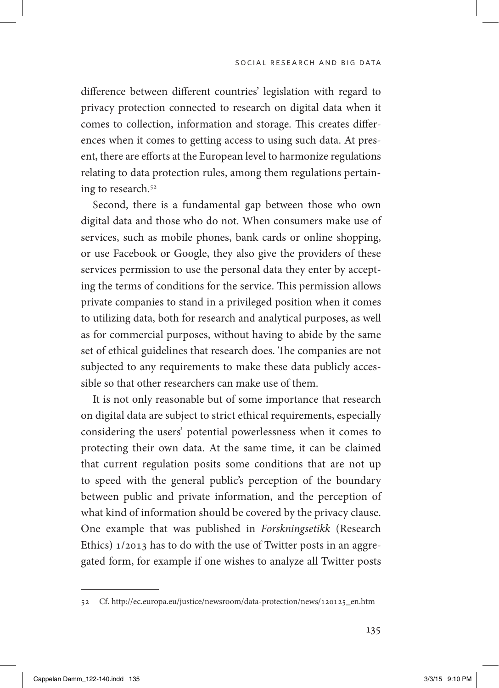difference between different countries' legislation with regard to privacy protection connected to research on digital data when it comes to collection, information and storage. This creates differences when it comes to getting access to using such data. At present, there are efforts at the European level to harmonize regulations relating to data protection rules, among them regulations pertaining to research.<sup>52</sup>

Second, there is a fundamental gap between those who own digital data and those who do not. When consumers make use of services, such as mobile phones, bank cards or online shopping, or use Facebook or Google, they also give the providers of these services permission to use the personal data they enter by accepting the terms of conditions for the service. This permission allows private companies to stand in a privileged position when it comes to utilizing data, both for research and analytical purposes, as well as for commercial purposes, without having to abide by the same set of ethical guidelines that research does. The companies are not subjected to any requirements to make these data publicly accessible so that other researchers can make use of them.

It is not only reasonable but of some importance that research on digital data are subject to strict ethical requirements, especially considering the users' potential powerlessness when it comes to protecting their own data. At the same time, it can be claimed that current regulation posits some conditions that are not up to speed with the general public's perception of the boundary between public and private information, and the perception of what kind of information should be covered by the privacy clause. One example that was published in *Forskningsetikk* (Research Ethics) 1/2013 has to do with the use of Twitter posts in an aggregated form, for example if one wishes to analyze all Twitter posts

<sup>52</sup> Cf. http://ec.europa.eu/justice/newsroom/data-protection/news/120125\_en.htm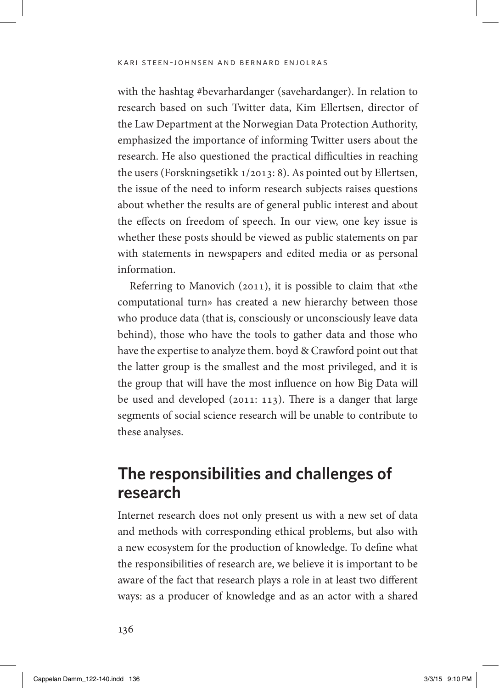with the hashtag #bevarhardanger (savehardanger). In relation to research based on such Twitter data, Kim Ellertsen, director of the Law Department at the Norwegian Data Protection Authority, emphasized the importance of informing Twitter users about the research. He also questioned the practical difficulties in reaching the users (Forskningsetikk 1/2013: 8). As pointed out by Ellertsen, the issue of the need to inform research subjects raises questions about whether the results are of general public interest and about the effects on freedom of speech. In our view, one key issue is whether these posts should be viewed as public statements on par with statements in newspapers and edited media or as personal information.

Referring to Manovich (2011), it is possible to claim that «the computational turn» has created a new hierarchy between those who produce data (that is, consciously or unconsciously leave data behind), those who have the tools to gather data and those who have the expertise to analyze them. boyd & Crawford point out that the latter group is the smallest and the most privileged, and it is the group that will have the most influence on how Big Data will be used and developed (2011: 113). There is a danger that large segments of social science research will be unable to contribute to these analyses.

## **The responsibilities and challenges of research**

Internet research does not only present us with a new set of data and methods with corresponding ethical problems, but also with a new ecosystem for the production of knowledge. To define what the responsibilities of research are, we believe it is important to be aware of the fact that research plays a role in at least two different ways: as a producer of knowledge and as an actor with a shared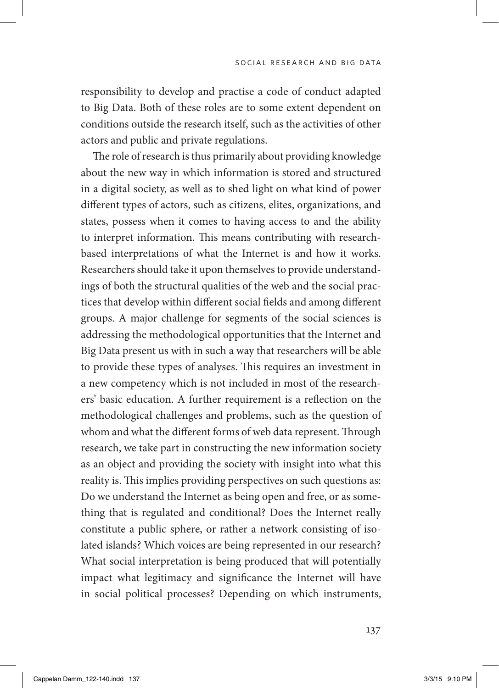responsibility to develop and practise a code of conduct adapted to Big Data. Both of these roles are to some extent dependent on conditions outside the research itself, such as the activities of other actors and public and private regulations.

The role of research is thus primarily about providing knowledge about the new way in which information is stored and structured in a digital society, as well as to shed light on what kind of power different types of actors, such as citizens, elites, organizations, and states, possess when it comes to having access to and the ability to interpret information. This means contributing with researchbased interpretations of what the Internet is and how it works. Researchers should take it upon themselves to provide understandings of both the structural qualities of the web and the social practices that develop within different social fields and among different groups. A major challenge for segments of the social sciences is addressing the methodological opportunities that the Internet and Big Data present us with in such a way that researchers will be able to provide these types of analyses. This requires an investment in a new competency which is not included in most of the researchers' basic education. A further requirement is a reflection on the methodological challenges and problems, such as the question of whom and what the different forms of web data represent. Through research, we take part in constructing the new information society as an object and providing the society with insight into what this reality is. This implies providing perspectives on such questions as: Do we understand the Internet as being open and free, or as something that is regulated and conditional? Does the Internet really constitute a public sphere, or rather a network consisting of isolated islands? Which voices are being represented in our research? What social interpretation is being produced that will potentially impact what legitimacy and significance the Internet will have in social political processes? Depending on which instruments,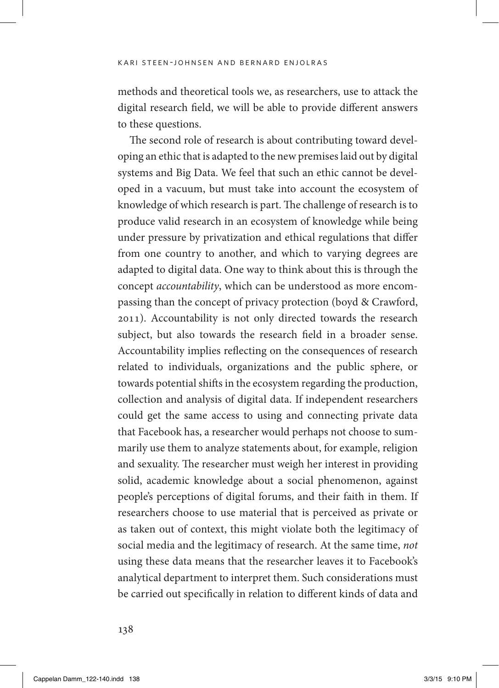methods and theoretical tools we, as researchers, use to attack the digital research field, we will be able to provide different answers to these questions.

The second role of research is about contributing toward developing an ethic that is adapted to the new premises laid out by digital systems and Big Data. We feel that such an ethic cannot be developed in a vacuum, but must take into account the ecosystem of knowledge of which research is part. The challenge of research is to produce valid research in an ecosystem of knowledge while being under pressure by privatization and ethical regulations that differ from one country to another, and which to varying degrees are adapted to digital data. One way to think about this is through the concept *accountability*, which can be understood as more encompassing than the concept of privacy protection (boyd & Crawford, 2011). Accountability is not only directed towards the research subject, but also towards the research field in a broader sense. Accountability implies reflecting on the consequences of research related to individuals, organizations and the public sphere, or towards potential shifts in the ecosystem regarding the production, collection and analysis of digital data. If independent researchers could get the same access to using and connecting private data that Facebook has, a researcher would perhaps not choose to summarily use them to analyze statements about, for example, religion and sexuality. The researcher must weigh her interest in providing solid, academic knowledge about a social phenomenon, against people's perceptions of digital forums, and their faith in them. If researchers choose to use material that is perceived as private or as taken out of context, this might violate both the legitimacy of social media and the legitimacy of research. At the same time, *not* using these data means that the researcher leaves it to Facebook's analytical department to interpret them. Such considerations must be carried out specifically in relation to different kinds of data and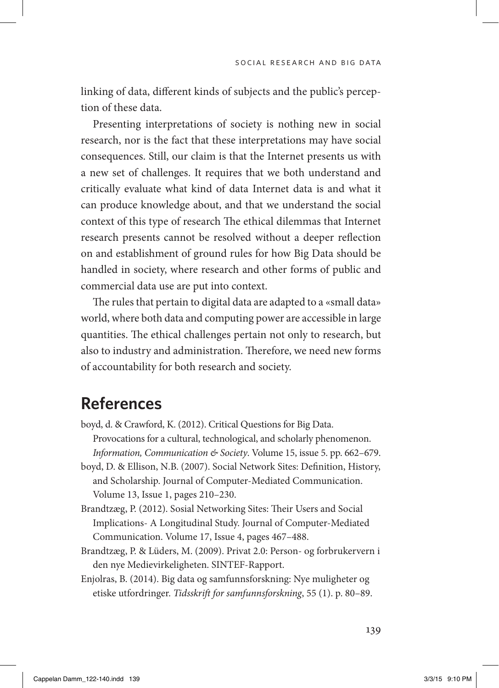linking of data, different kinds of subjects and the public's perception of these data.

Presenting interpretations of society is nothing new in social research, nor is the fact that these interpretations may have social consequences. Still, our claim is that the Internet presents us with a new set of challenges. It requires that we both understand and critically evaluate what kind of data Internet data is and what it can produce knowledge about, and that we understand the social context of this type of research The ethical dilemmas that Internet research presents cannot be resolved without a deeper reflection on and establishment of ground rules for how Big Data should be handled in society, where research and other forms of public and commercial data use are put into context.

The rules that pertain to digital data are adapted to a «small data» world, where both data and computing power are accessible in large quantities. The ethical challenges pertain not only to research, but also to industry and administration. Therefore, we need new forms of accountability for both research and society.

#### **References**

- boyd, d. & Crawford, K. (2012). Critical Questions for Big Data. Provocations for a cultural, technological, and scholarly phenomenon. *Information, Communication & Society*. Volume 15, issue 5. pp. 662–679.
- boyd, D. & Ellison, N.B. (2007). Social Network Sites: Definition, History, and Scholarship. Journal of Computer-Mediated Communication. Volume 13, Issue 1, pages 210–230.
- Brandtzæg, P. (2012). Sosial Networking Sites: Their Users and Social Implications- A Longitudinal Study. Journal of Computer-Mediated Communication. Volume 17, Issue 4, pages 467–488.
- Brandtzæg, P. & Lüders, M. (2009). Privat 2.0: Person- og forbrukervern i den nye Medievirkeligheten. SINTEF-Rapport.
- Enjolras, B. (2014). Big data og samfunnsforskning: Nye muligheter og etiske utfordringer. *Tidsskrift for samfunnsforskning*, 55 (1). p. 80–89.